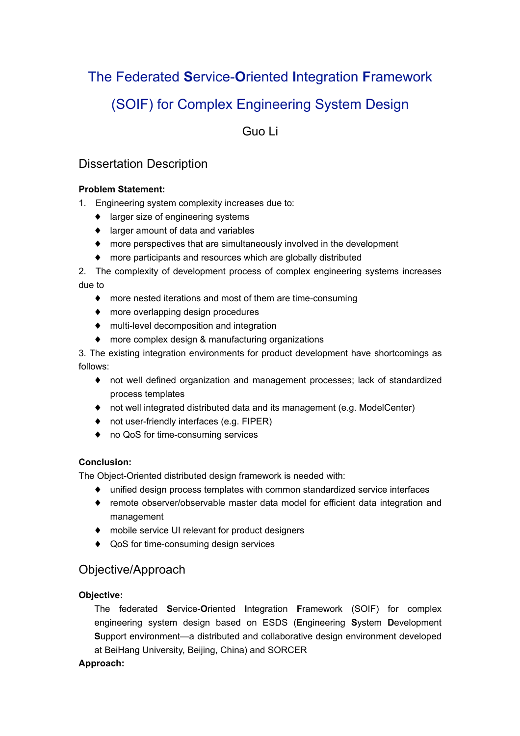The Federated **S**ervice-**O**riented **I**ntegration **F**ramework (SOIF) for Complex Engineering System Design

Guo Li

# Dissertation Description

### **Problem Statement:**

- 1. Engineering system complexity increases due to:
	- ♦ larger size of engineering systems
	- ♦ larger amount of data and variables
	- ♦ more perspectives that are simultaneously involved in the development
	- ♦ more participants and resources which are globally distributed

2. The complexity of development process of complex engineering systems increases due to

- ♦ more nested iterations and most of them are time-consuming
- ♦ more overlapping design procedures
- ♦ multi-level decomposition and integration
- ♦ more complex design & manufacturing organizations

3. The existing integration environments for product development have shortcomings as follows:

- ♦ not well defined organization and management processes; lack of standardized process templates
- ♦ not well integrated distributed data and its management (e.g. ModelCenter)
- ♦ not user-friendly interfaces (e.g. FIPER)
- ♦ no QoS for time-consuming services

#### **Conclusion:**

The Object-Oriented distributed design framework is needed with:

- ♦ unified design process templates with common standardized service interfaces
- ♦ remote observer/observable master data model for efficient data integration and management
- ♦ mobile service UI relevant for product designers
- ♦ QoS for time-consuming design services

## Objective/Approach

### **Objective:**

The federated **S**ervice-**O**riented **I**ntegration **F**ramework (SOIF) for complex engineering system design based on ESDS (**E**ngineering **S**ystem **D**evelopment **S**upport environment—a distributed and collaborative design environment developed at BeiHang University, Beijing, China) and SORCER

#### **Approach:**